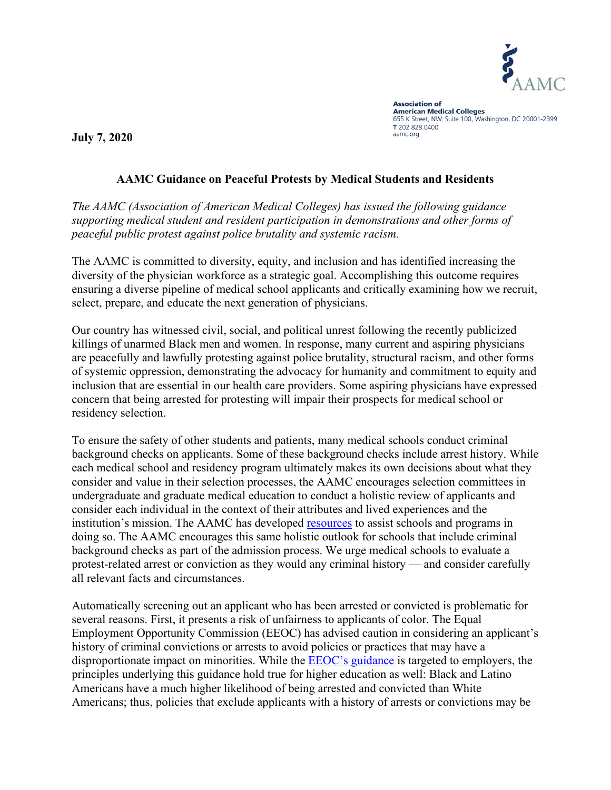

**Association of American Medical Colleges** 655 K Street, NW, Suite 100, Washington, DC 20001-2399 T 202 828 0400 aamc.org

**July 7, 2020**

## **AAMC Guidance on Peaceful Protests by Medical Students and Residents**

*The AAMC (Association of American Medical Colleges) has issued the following guidance supporting medical student and resident participation in demonstrations and other forms of peaceful public protest against police brutality and systemic racism.*

The AAMC is committed to diversity, equity, and inclusion and has identified increasing the diversity of the physician workforce as a strategic goal. Accomplishing this outcome requires ensuring a diverse pipeline of medical school applicants and critically examining how we recruit, select, prepare, and educate the next generation of physicians.

Our country has witnessed civil, social, and political unrest following the recently publicized killings of unarmed Black men and women. In response, many current and aspiring physicians are peacefully and lawfully protesting against police brutality, structural racism, and other forms of systemic oppression, demonstrating the advocacy for humanity and commitment to equity and inclusion that are essential in our health care providers. Some aspiring physicians have expressed concern that being arrested for protesting will impair their prospects for medical school or residency selection.

To ensure the safety of other students and patients, many medical schools conduct criminal background checks on applicants. Some of these background checks include arrest history. While each medical school and residency program ultimately makes its own decisions about what they consider and value in their selection processes, the AAMC encourages selection committees in undergraduate and graduate medical education to conduct a holistic review of applicants and consider each individual in the context of their attributes and lived experiences and the institution's mission. The AAMC has developed [resources](https://www.aamc.org/services/member-capacity-building/holistic-review) to assist schools and programs in doing so. The AAMC encourages this same holistic outlook for schools that include criminal background checks as part of the admission process. We urge medical schools to evaluate a protest-related arrest or conviction as they would any criminal history — and consider carefully all relevant facts and circumstances.

Automatically screening out an applicant who has been arrested or convicted is problematic for several reasons. First, it presents a risk of unfairness to applicants of color. The Equal Employment Opportunity Commission (EEOC) has advised caution in considering an applicant's history of criminal convictions or arrests to avoid policies or practices that may have a disproportionate impact on minorities. While the **EEOC**'s guidance is targeted to employers, the principles underlying this guidance hold true for higher education as well: Black and Latino Americans have a much higher likelihood of being arrested and convicted than White Americans; thus, policies that exclude applicants with a history of arrests or convictions may be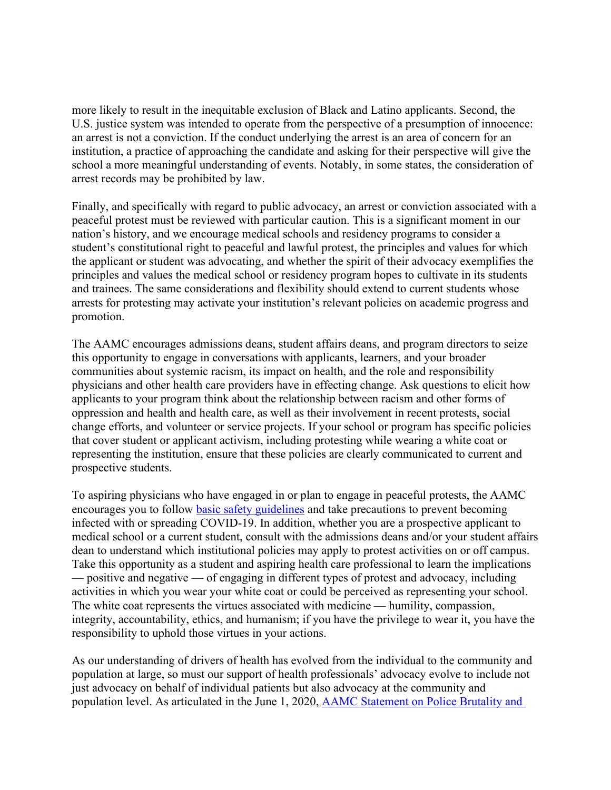more likely to result in the inequitable exclusion of Black and Latino applicants. Second, the U.S. justice system was intended to operate from the perspective of a presumption of innocence: an arrest is not a conviction. If the conduct underlying the arrest is an area of concern for an institution, a practice of approaching the candidate and asking for their perspective will give the school a more meaningful understanding of events. Notably, in some states, the consideration of arrest records may be prohibited by law.

Finally, and specifically with regard to public advocacy, an arrest or conviction associated with a peaceful protest must be reviewed with particular caution. This is a significant moment in our nation's history, and we encourage medical schools and residency programs to consider a student's constitutional right to peaceful and lawful protest, the principles and values for which the applicant or student was advocating, and whether the spirit of their advocacy exemplifies the principles and values the medical school or residency program hopes to cultivate in its students and trainees. The same considerations and flexibility should extend to current students whose arrests for protesting may activate your institution's relevant policies on academic progress and promotion.

The AAMC encourages admissions deans, student affairs deans, and program directors to seize this opportunity to engage in conversations with applicants, learners, and your broader communities about systemic racism, its impact on health, and the role and responsibility physicians and other health care providers have in effecting change. Ask questions to elicit how applicants to your program think about the relationship between racism and other forms of oppression and health and health care, as well as their involvement in recent protests, social change efforts, and volunteer or service projects. If your school or program has specific policies that cover student or applicant activism, including protesting while wearing a white coat or representing the institution, ensure that these policies are clearly communicated to current and prospective students.

To aspiring physicians who have engaged in or plan to engage in peaceful protests, the AAMC encourages you to follow [basic safety guidelines](https://www.amnestyusa.org/pdfs/SafeyDuringProtest_F.pdf) and take precautions to prevent becoming infected with or spreading COVID-19. In addition, whether you are a prospective applicant to medical school or a current student, consult with the admissions deans and/or your student affairs dean to understand which institutional policies may apply to protest activities on or off campus. Take this opportunity as a student and aspiring health care professional to learn the implications — positive and negative — of engaging in different types of protest and advocacy, including activities in which you wear your white coat or could be perceived as representing your school. The white coat represents the virtues associated with medicine — humility, compassion, integrity, accountability, ethics, and humanism; if you have the privilege to wear it, you have the responsibility to uphold those virtues in your actions.

As our understanding of drivers of health has evolved from the individual to the community and population at large, so must our support of health professionals' advocacy evolve to include not just advocacy on behalf of individual patients but also advocacy at the community and population level. As articulated in the June 1, 2020, [AAMC Statement on Police Brutality and](https://www.aamc.org/news-insights/press-releases/aamc-statement-police-brutality-and-racism-america-and-their-impact-health)